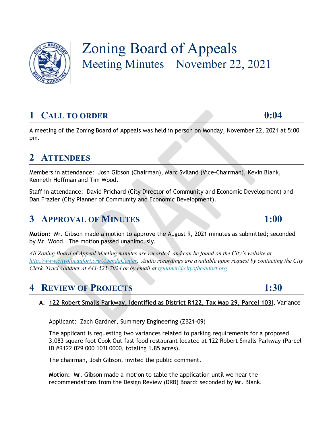

# Zoning Board of Appeals Meeting Minutes – November 22, 2021

## **1 CALL TO ORDER 0:04**

A meeting of the Zoning Board of Appeals was held in person on Monday, November 22, 2021 at 5:00 pm.

## **2 ATTENDEES**

Members in attendance: Josh Gibson (Chairman), Marc Sviland (Vice-Chairman), Kevin Blank, Kenneth Hoffman and Tim Wood.

Staff in attendance: David Prichard (City Director of Community and Economic Development) and Dan Frazier (City Planner of Community and Economic Development).

## **3 APPROVAL OF MINUTES 1:00**

**Motion:** Mr. Gibson made a motion to approve the August 9, 2021 minutes as submitted; seconded by Mr. Wood. The motion passed unanimously.

*All Zoning Board of Appeal Meeting minutes are recorded, and can be found on the City's website at [http://www.cityofbeaufort.org/AgendaCenter.](http://www.cityofbeaufort.org/AgendaCenter) Audio recordings are available upon request by contacting the City Clerk, Traci Guldner at 843-525-7024 or by email at [tguldner@cityofbeaufort.org](mailto:tguldner@cityofbeaufort.org)*

## **4 REVIEW OF PROJECTS 1:30**

## **A. 122 Robert Smalls Parkway, identified as District R122, Tax Map 29, Parcel 103I,** Variance

Applicant: Zach Gardner, Summery Engineering (ZB21-09)

The applicant is requesting two variances related to parking requirements for a proposed 3,083 square foot Cook Out fast food restaurant located at 122 Robert Smalls Parkway (Parcel ID #R122 029 000 103I 0000, totaling 1.85 acres).

The chairman, Josh Gibson, invited the public comment.

**Motion:** Mr. Gibson made a motion to table the application until we hear the recommendations from the Design Review (DRB) Board; seconded by Mr. Blank.